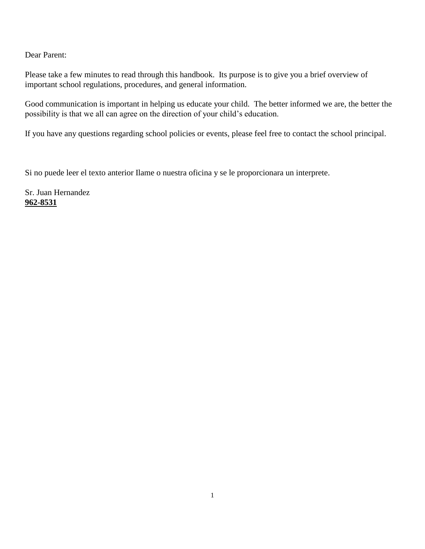Dear Parent:

Please take a few minutes to read through this handbook. Its purpose is to give you a brief overview of important school regulations, procedures, and general information.

Good communication is important in helping us educate your child. The better informed we are, the better the possibility is that we all can agree on the direction of your child's education.

If you have any questions regarding school policies or events, please feel free to contact the school principal.

Si no puede leer el texto anterior Ilame o nuestra oficina y se le proporcionara un interprete.

Sr. Juan Hernandez **962-8531**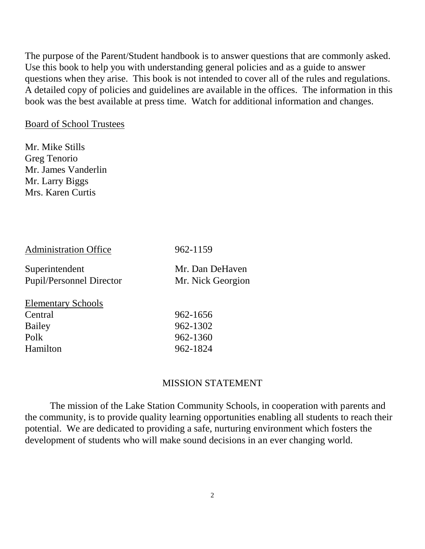The purpose of the Parent/Student handbook is to answer questions that are commonly asked. Use this book to help you with understanding general policies and as a guide to answer questions when they arise. This book is not intended to cover all of the rules and regulations. A detailed copy of policies and guidelines are available in the offices. The information in this book was the best available at press time. Watch for additional information and changes.

# Board of School Trustees

Mr. Mike Stills Greg Tenorio Mr. James Vanderlin Mr. Larry Biggs Mrs. Karen Curtis

Administration Office 962-1159

| Superintendent                  | Mr. Dan DeHaven   |
|---------------------------------|-------------------|
| <b>Pupil/Personnel Director</b> | Mr. Nick Georgion |
| <b>Elementary Schools</b>       |                   |
| Central                         | 962-1656          |
| Bailey                          | 962-1302          |
| Polk                            | 962-1360          |
| Hamilton                        | 962-1824          |
|                                 |                   |

# MISSION STATEMENT

The mission of the Lake Station Community Schools, in cooperation with parents and the community, is to provide quality learning opportunities enabling all students to reach their potential. We are dedicated to providing a safe, nurturing environment which fosters the development of students who will make sound decisions in an ever changing world.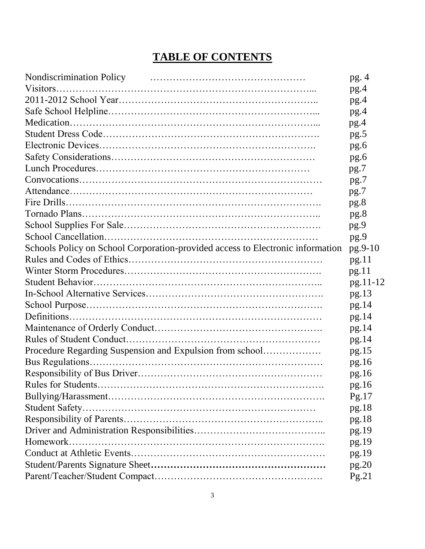# **TABLE OF CONTENTS**

| Nondiscrimination Policy (Ed. 2016)                                            | pg.4     |
|--------------------------------------------------------------------------------|----------|
|                                                                                | pg.4     |
|                                                                                | pg.4     |
|                                                                                | pg.4     |
|                                                                                | pg.4     |
|                                                                                | pg.5     |
|                                                                                | pg.6     |
|                                                                                | pg.6     |
|                                                                                | pg.7     |
|                                                                                | pg.7     |
|                                                                                | pg.7     |
|                                                                                | pg.8     |
|                                                                                | pg.8     |
|                                                                                | pg.9     |
|                                                                                | pg.9     |
| Schools Policy on School Corporation-provided access to Electronic information | pg.9-10  |
|                                                                                | pg.11    |
|                                                                                | pg.11    |
|                                                                                | pg.11-12 |
|                                                                                | pg.13    |
|                                                                                | pg.14    |
|                                                                                | pg.14    |
|                                                                                | pg.14    |
|                                                                                | pg.14    |
| Procedure Regarding Suspension and Expulsion from school                       | pg.15    |
|                                                                                | pg.16    |
|                                                                                | pg.16    |
|                                                                                | pg.16    |
|                                                                                | Pg.17    |
|                                                                                | pg.18    |
|                                                                                | pg.18    |
|                                                                                | pg.19    |
| Homework.                                                                      | pg.19    |
|                                                                                | pg.19    |
|                                                                                | pg.20    |
|                                                                                | Pg.21    |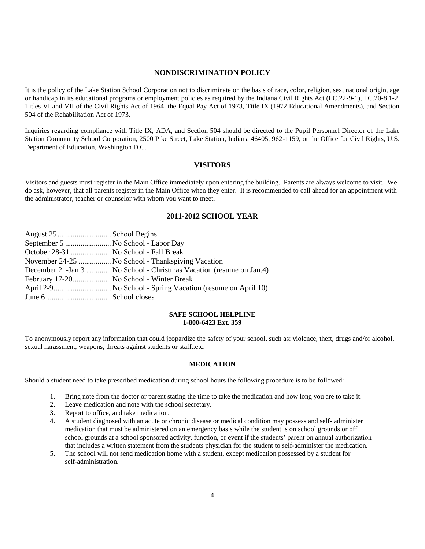## **NONDISCRIMINATION POLICY**

It is the policy of the Lake Station School Corporation not to discriminate on the basis of race, color, religion, sex, national origin, age or handicap in its educational programs or employment policies as required by the Indiana Civil Rights Act (I.C.22-9-1), I.C.20-8.1-2, Titles VI and VII of the Civil Rights Act of 1964, the Equal Pay Act of 1973, Title IX (1972 Educational Amendments), and Section 504 of the Rehabilitation Act of 1973.

Inquiries regarding compliance with Title IX, ADA, and Section 504 should be directed to the Pupil Personnel Director of the Lake Station Community School Corporation, 2500 Pike Street, Lake Station, Indiana 46405, 962-1159, or the Office for Civil Rights, U.S. Department of Education, Washington D.C.

## **VISITORS**

Visitors and guests must register in the Main Office immediately upon entering the building. Parents are always welcome to visit. We do ask, however, that all parents register in the Main Office when they enter. It is recommended to call ahead for an appointment with the administrator, teacher or counselor with whom you want to meet.

#### **2011-2012 SCHOOL YEAR**

| September 5  No School - Labor Day      |                                                                     |
|-----------------------------------------|---------------------------------------------------------------------|
| October 28-31  No School - Fall Break   |                                                                     |
|                                         | November 24-25  No School - Thanksgiving Vacation                   |
|                                         | December 21-Jan 3  No School - Christmas Vacation (resume on Jan.4) |
| February 17-20 No School - Winter Break |                                                                     |
|                                         | April 2-9 No School - Spring Vacation (resume on April 10)          |
|                                         |                                                                     |

#### **SAFE SCHOOL HELPLINE 1-800-6423 Ext. 359**

To anonymously report any information that could jeopardize the safety of your school, such as: violence, theft, drugs and/or alcohol, sexual harassment, weapons, threats against students or staff..etc.

#### **MEDICATION**

Should a student need to take prescribed medication during school hours the following procedure is to be followed:

- 1. Bring note from the doctor or parent stating the time to take the medication and how long you are to take it.
- 2. Leave medication and note with the school secretary.
- 3. Report to office, and take medication.
- 4. A student diagnosed with an acute or chronic disease or medical condition may possess and self- administer medication that must be administered on an emergency basis while the student is on school grounds or off school grounds at a school sponsored activity, function, or event if the students' parent on annual authorization that includes a written statement from the students physician for the student to self-administer the medication.
- 5. The school will not send medication home with a student, except medication possessed by a student for self-administration.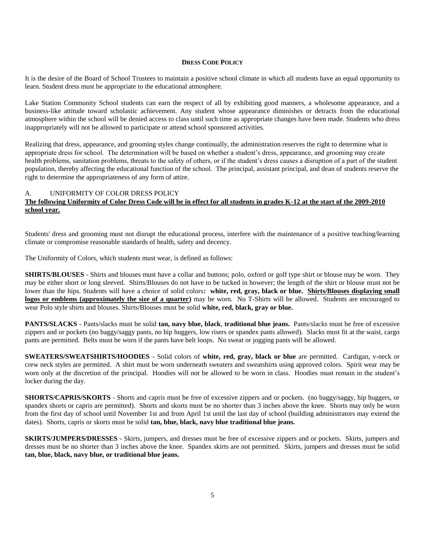#### **DRESS CODE POLICY**

It is the desire of the Board of School Trustees to maintain a positive school climate in which all students have an equal opportunity to learn. Student dress must be appropriate to the educational atmosphere.

Lake Station Community School students can earn the respect of all by exhibiting good manners, a wholesome appearance, and a business-like attitude toward scholastic achievement. Any student whose appearance diminishes or detracts from the educational atmosphere within the school will be denied access to class until such time as appropriate changes have been made. Students who dress inappropriately will not be allowed to participate or attend school sponsored activities.

Realizing that dress, appearance, and grooming styles change continually, the administration reserves the right to determine what is appropriate dress for school. The determination will be based on whether a student's dress, appearance, and grooming may create health problems, sanitation problems, threats to the safety of others, or if the student's dress causes a disruption of a part of the student population, thereby affecting the educational function of the school. The principal, assistant principal, and dean of students reserve the right to determine the appropriateness of any form of attire.

## A. UNIFORMITY OF COLOR DRESS POLICY

## **The following Uniformity of Color Dress Code will be in effect for all students in grades K-12 at the start of the 2009-2010 school year.**

Students' dress and grooming must not disrupt the educational process, interfere with the maintenance of a positive teaching/learning climate or compromise reasonable standards of health, safety and decency.

The Uniformity of Colors, which students must wear, is defined as follows:

**SHIRTS/BLOUSES** - Shirts and blouses must have a collar and buttons; polo, oxford or golf type shirt or blouse may be worn. They may be either short or long sleeved. Shirts/Blouses do not have to be tucked in however; the length of the shirt or blouse must not be lower than the hips. Students will have a choice of solid colors**: white, red, gray, black or blue. Shirts/Blouses displaying small logos or emblems (approximately the size of a quarter)** may be worn. No T-Shirts will be allowed. Students are encouraged to wear Polo style shirts and blouses. Shirts/Blouses must be solid **white, red, black, gray or blue.**

**PANTS/SLACKS** - Pants/slacks must be solid **tan, navy blue, black**, **traditional blue jeans.** Pants/slacks must be free of excessive zippers and or pockets (no baggy/saggy pants, no hip huggers, low risers or spandex pants allowed). Slacks must fit at the waist, cargo pants are permitted. Belts must be worn if the pants have belt loops. No sweat or jogging pants will be allowed.

**SWEATERS/SWEATSHIRTS/HOODIES** - Solid colors of **white, red, gray, black or blue** are permitted. Cardigan, v-neck or crew neck styles are permitted. A shirt must be worn underneath sweaters and sweatshirts using approved colors. Spirit wear may be worn only at the discretion of the principal. Hoodies will not be allowed to be worn in class. Hoodies must remain in the student's locker during the day.

**SHORTS/CAPRIS/SKORTS** - Shorts and capris must be free of excessive zippers and or pockets. (no baggy/saggy, hip huggers, or spandex shorts or capris are permitted). Shorts and skorts must be no shorter than 3 inches above the knee. Shorts may only be worn from the first day of school until November 1st and from April 1st until the last day of school (building administrators may extend the dates). Shorts, capris or skorts must be solid **tan, blue, black, navy blue traditional blue jeans.**

**SKIRTS/JUMPERS/DRESSES** - Skirts, jumpers, and dresses must be free of excessive zippers and or pockets. Skirts, jumpers and dresses must be no shorter than 3 inches above the knee. Spandex skirts are not permitted. Skirts, jumpers and dresses must be solid **tan, blue, black, navy blue, or traditional blue jeans.**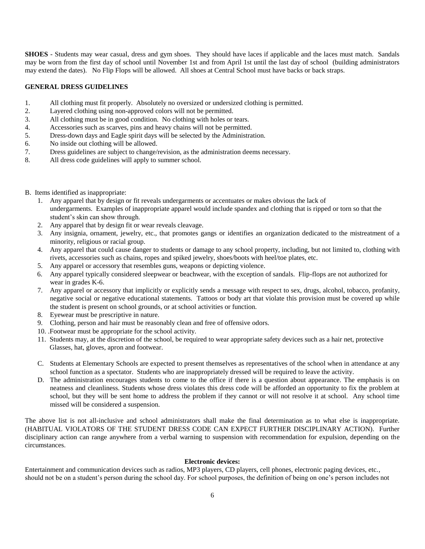**SHOES** - Students may wear casual, dress and gym shoes. They should have laces if applicable and the laces must match. Sandals may be worn from the first day of school until November 1st and from April 1st until the last day of school (building administrators may extend the dates). No Flip Flops will be allowed. All shoes at Central School must have backs or back straps.

#### **GENERAL DRESS GUIDELINES**

- 1. All clothing must fit properly. Absolutely no oversized or undersized clothing is permitted.
- 2. Layered clothing using non-approved colors will not be permitted.
- 3. All clothing must be in good condition. No clothing with holes or tears.
- 4. Accessories such as scarves, pins and heavy chains will not be permitted.
- 5. Dress-down days and Eagle spirit days will be selected by the Administration.
- 6. No inside out clothing will be allowed.
- 7. Dress guidelines are subject to change/revision, as the administration deems necessary.
- 8. All dress code guidelines will apply to summer school.
- B. Items identified as inappropriate:
	- 1. Any apparel that by design or fit reveals undergarments or accentuates or makes obvious the lack of undergarments. Examples of inappropriate apparel would include spandex and clothing that is ripped or torn so that the student's skin can show through.
	- 2. Any apparel that by design fit or wear reveals cleavage.
	- 3. Any insignia, ornament, jewelry, etc., that promotes gangs or identifies an organization dedicated to the mistreatment of a minority, religious or racial group.
	- 4. Any apparel that could cause danger to students or damage to any school property, including, but not limited to, clothing with rivets, accessories such as chains, ropes and spiked jewelry, shoes/boots with heel/toe plates, etc.
	- 5. Any apparel or accessory that resembles guns, weapons or depicting violence.
	- 6. Any apparel typically considered sleepwear or beachwear, with the exception of sandals. Flip-flops are not authorized for wear in grades K-6.
	- 7. Any apparel or accessory that implicitly or explicitly sends a message with respect to sex, drugs, alcohol, tobacco, profanity, negative social or negative educational statements. Tattoos or body art that violate this provision must be covered up while the student is present on school grounds, or at school activities or function.
	- 8. Eyewear must be prescriptive in nature.
	- 9. Clothing, person and hair must be reasonably clean and free of offensive odors.
	- 10. .Footwear must be appropriate for the school activity.
	- 11. Students may, at the discretion of the school, be required to wear appropriate safety devices such as a hair net, protective Glasses, hat, gloves, apron and footwear.
	- C. Students at Elementary Schools are expected to present themselves as representatives of the school when in attendance at any school function as a spectator. Students who are inappropriately dressed will be required to leave the activity.
	- D. The administration encourages students to come to the office if there is a question about appearance. The emphasis is on neatness and cleanliness. Students whose dress violates this dress code will be afforded an opportunity to fix the problem at school, but they will be sent home to address the problem if they cannot or will not resolve it at school. Any school time missed will be considered a suspension.

The above list is not all-inclusive and school administrators shall make the final determination as to what else is inappropriate. (HABITUAL VIOLATORS OF THE STUDENT DRESS CODE CAN EXPECT FURTHER DISCIPLINARY ACTION). Further disciplinary action can range anywhere from a verbal warning to suspension with recommendation for expulsion, depending on the circumstances.

## **Electronic devices:**

Entertainment and communication devices such as radios, MP3 players, CD players, cell phones, electronic paging devices, etc., should not be on a student's person during the school day. For school purposes, the definition of being on one's person includes not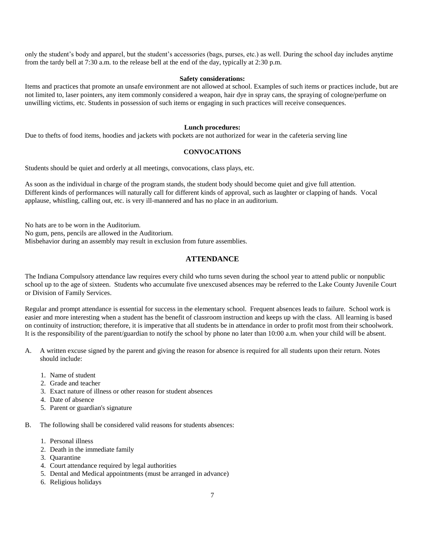only the student's body and apparel, but the student's accessories (bags, purses, etc.) as well. During the school day includes anytime from the tardy bell at 7:30 a.m. to the release bell at the end of the day, typically at 2:30 p.m.

#### **Safety considerations:**

Items and practices that promote an unsafe environment are not allowed at school. Examples of such items or practices include, but are not limited to, laser pointers, any item commonly considered a weapon, hair dye in spray cans, the spraying of cologne/perfume on unwilling victims, etc. Students in possession of such items or engaging in such practices will receive consequences.

#### **Lunch procedures:**

Due to thefts of food items, hoodies and jackets with pockets are not authorized for wear in the cafeteria serving line

#### **CONVOCATIONS**

Students should be quiet and orderly at all meetings, convocations, class plays, etc.

As soon as the individual in charge of the program stands, the student body should become quiet and give full attention. Different kinds of performances will naturally call for different kinds of approval, such as laughter or clapping of hands. Vocal applause, whistling, calling out, etc. is very ill-mannered and has no place in an auditorium.

No hats are to be worn in the Auditorium.

No gum, pens, pencils are allowed in the Auditorium.

Misbehavior during an assembly may result in exclusion from future assemblies.

## **ATTENDANCE**

The Indiana Compulsory attendance law requires every child who turns seven during the school year to attend public or nonpublic school up to the age of sixteen. Students who accumulate five unexcused absences may be referred to the Lake County Juvenile Court or Division of Family Services.

Regular and prompt attendance is essential for success in the elementary school. Frequent absences leads to failure. School work is easier and more interesting when a student has the benefit of classroom instruction and keeps up with the class. All learning is based on continuity of instruction; therefore, it is imperative that all students be in attendance in order to profit most from their schoolwork. It is the responsibility of the parent/guardian to notify the school by phone no later than 10:00 a.m. when your child will be absent.

- A. A written excuse signed by the parent and giving the reason for absence is required for all students upon their return. Notes should include:
	- 1. Name of student
	- 2. Grade and teacher
	- 3. Exact nature of illness or other reason for student absences
	- 4. Date of absence
	- 5. Parent or guardian's signature

B. The following shall be considered valid reasons for students absences:

- 1. Personal illness
- 2. Death in the immediate family
- 3. Quarantine
- 4. Court attendance required by legal authorities
- 5. Dental and Medical appointments (must be arranged in advance)
- 6. Religious holidays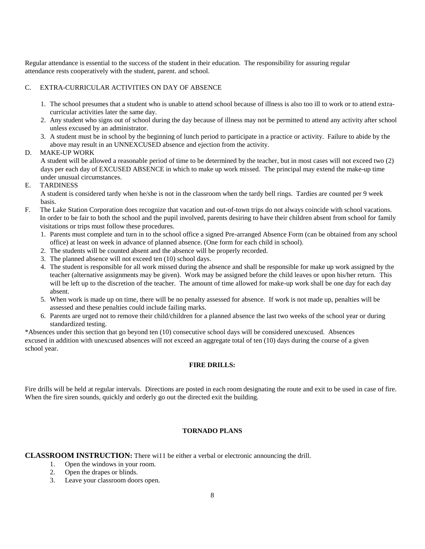Regular attendance is essential to the success of the student in their education. The responsibility for assuring regular attendance rests cooperatively with the student, parent. and school.

## C. EXTRA-CURRICULAR ACTIVITIES ON DAY OF ABSENCE

- 1. The school presumes that a student who is unable to attend school because of illness is also too ill to work or to attend extracurricular activities later the same day.
- 2. Any student who signs out of school during the day because of illness may not be permitted to attend any activity after school unless excused by an administrator.
- 3. A student must be in school by the beginning of lunch period to participate in a practice or activity. Failure to abide by the above may result in an UNNEXCUSED absence and ejection from the activity.

## D. MAKE-UP WORK

A student will be allowed a reasonable period of time to be determined by the teacher, but in most cases will not exceed two (2) days per each day of EXCUSED ABSENCE in which to make up work missed. The principal may extend the make-up time under unusual circumstances.

#### E. TARDINESS

A student is considered tardy when he/she is not in the classroom when the tardy bell rings. Tardies are counted per 9 week basis.

- F. The Lake Station Corporation does recognize that vacation and out-of-town trips do not always coincide with school vacations. In order to be fair to both the school and the pupil involved, parents desiring to have their children absent from school for family visitations or trips must follow these procedures.
	- 1. Parents must complete and turn in to the school office a signed Pre-arranged Absence Form (can be obtained from any school office) at least on week in advance of planned absence. (One form for each child in school).
	- 2. The students will be counted absent and the absence will be properly recorded.
	- 3. The planned absence will not exceed ten (10) school days.
	- 4. The student is responsible for all work missed during the absence and shall be responsible for make up work assigned by the teacher (alternative assignments may be given). Work may be assigned before the child leaves or upon his/her return. This will be left up to the discretion of the teacher. The amount of time allowed for make-up work shall be one day for each day absent.
	- 5. When work is made up on time, there will be no penalty assessed for absence. If work is not made up, penalties will be assessed and these penalties could include failing marks.
	- 6. Parents are urged not to remove their child/children for a planned absence the last two weeks of the school year or during standardized testing.

\*Absences under this section that go beyond ten (10) consecutive school days will be considered unexcused. Absences excused in addition with unexcused absences will not exceed an aggregate total of ten (10) days during the course of a given school year.

#### **FIRE DRILLS:**

Fire drills will be held at regular intervals. Directions are posted in each room designating the route and exit to be used in case of fire. When the fire siren sounds, quickly and orderly go out the directed exit the building.

## **TORNADO PLANS**

**CLASSROOM INSTRUCTION:** There wi11 be either a verbal or electronic announcing the drill.

- 1. Open the windows in your room.
- 2. Open the drapes or blinds.
- 3. Leave your classroom doors open.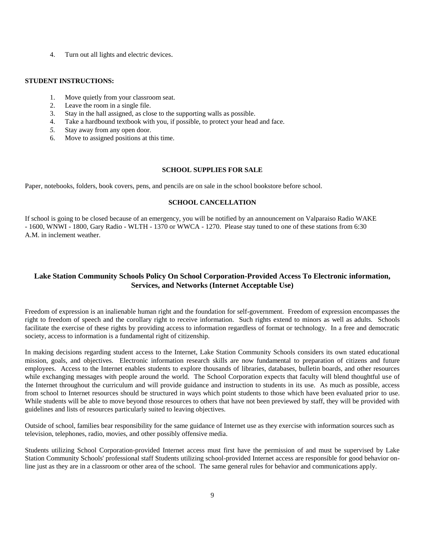4. Turn out all lights and electric devices.

#### **STUDENT INSTRUCTIONS:**

- 1. Move quietly from your classroom seat.
- 2. Leave the room in a single file.
- 3. Stay in the hall assigned, as close to the supporting walls as possible.
- 4. Take a hardbound textbook with you, if possible, to protect your head and face.
- *5.* Stay away from any open door.
- 6. Move to assigned positions at this time.

#### **SCHOOL SUPPLIES FOR SALE**

Paper, notebooks, folders, book covers, pens, and pencils are on sale in the school bookstore before school.

## **SCHOOL CANCELLATION**

If school is going to be closed because of an emergency, you will be notified by an announcement on Valparaiso Radio WAKE - 1600, WNWI - 1800, Gary Radio - WLTH - 1370 or WWCA - 1270. Please stay tuned to one of these stations from 6:30 A.M. in inclement weather.

## **Lake Station Community Schools Policy On School Corporation-Provided Access To Electronic information, Services, and Networks (Internet Acceptable Use)**

Freedom of expression is an inalienable human right and the foundation for self-government. Freedom of expression encompasses the right to freedom of speech and the corollary right to receive information. Such rights extend to minors as well as adults. Schools facilitate the exercise of these rights by providing access to information regardless of format or technology. In a free and democratic society, access to information is a fundamental right of citizenship.

In making decisions regarding student access to the Internet, Lake Station Community Schools considers its own stated educational mission, goals, and objectives. Electronic information research skills are now fundamental to preparation of citizens and future employees. Access to the Internet enables students to explore thousands of libraries, databases, bulletin boards, and other resources while exchanging messages with people around the world. The School Corporation expects that faculty will blend thoughtful use of the Internet throughout the curriculum and will provide guidance and instruction to students in its use. As much as possible, access from school to Internet resources should be structured in ways which point students to those which have been evaluated prior to use. While students will be able to move beyond those resources to others that have not been previewed by staff, they will be provided with guidelines and lists of resources particularly suited to leaving objectives.

Outside of school, families bear responsibility for the same guidance of Internet use as they exercise with information sources such as television, telephones, radio, movies, and other possibly offensive media.

Students utilizing School Corporation-provided Internet access must first have the permission of and must be supervised by Lake Station Community Schools' professional staff Students utilizing school-provided Internet access are responsible for good behavior online just as they are in a classroom or other area of the school. The same general rules for behavior and communications apply.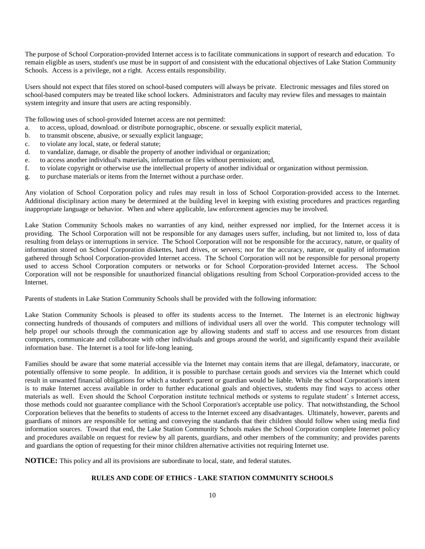The purpose of School Corporation-provided Internet access is to facilitate communications in support of research and education. To remain eligible as users, student's use must be in support of and consistent with the educational objectives of Lake Station Community Schools. Access is a privilege, not a right. Access entails responsibility.

Users should not expect that files stored on school-based computers will always be private. Electronic messages and files stored on school-based computers may be treated like school lockers. Administrators and faculty may review files and messages to maintain system integrity and insure that users are acting responsibly.

The following uses of school-provided Internet access are not permitted:

- a. to access, upload, download. or distribute pornographic, obscene. or sexually explicit material,
- b. to transmit obscene, abusive, or sexually explicit language;
- c. to violate any local, state, or federal statute;
- d. to vandalize, damage, or disable the property of another individual or organization;
- e. to access another individual's materials, information or files without permission; and,
- f. to violate copyright or otherwise use the intellectual property of another individual or organization without permission.
- g. to purchase materials or items from the Internet without a purchase order.

Any violation of School Corporation policy and rules may result in loss of School Corporation-provided access to the Internet. Additional disciplinary action many be determined at the building level in keeping with existing procedures and practices regarding inappropriate language or behavior. When and where applicable, law enforcement agencies may be involved.

Lake Station Community Schools makes no warranties of any kind, neither expressed nor implied, for the Internet access it is providing. The School Corporation will not be responsible for any damages users suffer, including, but not limited to, loss of data resulting from delays or interruptions in service. The School Corporation will not be responsible for the accuracy, nature, or quality of information stored on School Corporation diskettes, hard drives, or servers; nor for the accuracy, nature, or quality of information gathered through School Corporation-provided Internet access. The School Corporation will not be responsible for personal property used to access School Corporation computers or networks or for School Corporation-provided Internet access. The School Corporation will not be responsible for unauthorized financial obligations resulting from School Corporation-provided access to the Internet.

Parents of students in Lake Station Community Schools shall be provided with the following information:

Lake Station Community Schools is pleased to offer its students access to the Internet. The Internet is an electronic highway connecting hundreds of thousands of computers and millions of individual users all over the world. This computer technology will help propel our schools through the communication age by allowing students and staff to access and use resources from distant computers, communicate and collaborate with other individuals and groups around the world, and significantly expand their available information base. The Internet is a tool for life-long leaning.

Families should be aware that some material accessible via the Internet may contain items that are illegal, defamatory, inaccurate, or potentially offensive to some people. In addition, it is possible to purchase certain goods and services via the Internet which could result in unwanted financial obligations for which a student's parent or guardian would be liable. While the school Corporation's intent is to make Internet access available in order to further educational goals and objectives, students may find ways to access other materials as well. Even should the School Corporation institute technical methods or systems to regulate student' s Internet access, those methods could not guarantee compliance with the School Corporation's acceptable use policy. That notwithstanding, the School Corporation believes that the benefits to students of access to the Internet exceed any disadvantages. Ultimately, however, parents and guardians of minors are responsible for setting and conveying the standards that their children should follow when using media find information sources. Toward that end, the Lake Station Community Schools makes the School Corporation complete Internet policy and procedures available on request for review by all parents, guardians, and other members of the community; and provides parents and guardians the option of requesting for their minor children alternative activities not requiring Internet use.

**NOTICE:** This policy and all its provisions are subordinate to local, state, and federal statutes.

## **RULES AND CODE OF ETHICS - LAKE STATION COMMUNITY SCHOOLS**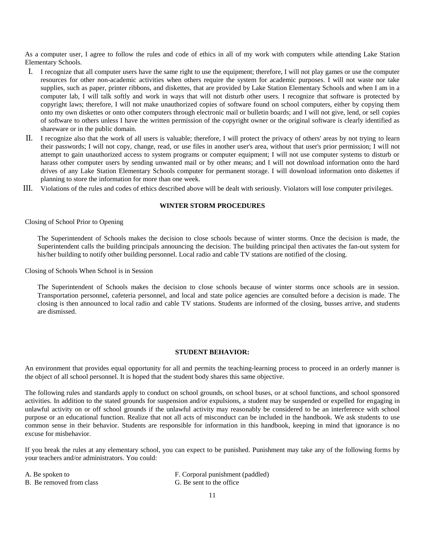As a computer user, I agree to follow the rules and code of ethics in all of my work with computers while attending Lake Station Elementary Schools.

- I. I recognize that all computer users have the same right to use the equipment; therefore, I will not play games or use the computer resources for other non-academic activities when others require the system for academic purposes. I will not waste nor take supplies, such as paper, printer ribbons, and diskettes, that are provided by Lake Station Elementary Schools and when I am in a computer lab, I will talk softly and work in ways that will not disturb other users. I recognize that software is protected by copyright laws; therefore, I will not make unauthorized copies of software found on school computers, either by copying them onto my own diskettes or onto other computers through electronic mail or bulletin boards; and I will not give, lend, or sell copies of software to others unless I have the written permission of the copyright owner or the original software is clearly identified as shareware or in the public domain.
- II. I recognize also that the work of all users is valuable; therefore, I will protect the privacy of others' areas by not trying to learn their passwords; I will not copy, change, read, or use files in another user's area, without that user's prior permission; I will not attempt to gain unauthorized access to system programs or computer equipment; I will not use computer systems to disturb or harass other computer users by sending unwanted mail or by other means; and I will not download information onto the hard drives of any Lake Station Elementary Schools computer for permanent storage. I will download information onto diskettes if planning to store the information for more than one week.
- III. Violations of the rules and codes of ethics described above will be dealt with seriously. Violators will lose computer privileges.

## **WINTER STORM PROCEDURES**

Closing of School Prior to Opening

The Superintendent of Schools makes the decision to close schools because of winter storms. Once the decision is made, the Superintendent calls the building principals announcing the decision. The building principal then activates the fan-out system for his/her building to notify other building personnel. Local radio and cable TV stations are notified of the closing.

Closing of Schools When School is in Session

The Superintendent of Schools makes the decision to close schools because of winter storms once schools are in session. Transportation personnel, cafeteria personnel, and local and state police agencies are consulted before a decision is made. The closing is then announced to local radio and cable TV stations. Students are informed of the closing, busses arrive, and students are dismissed.

#### **STUDENT BEHAVIOR:**

An environment that provides equal opportunity for all and permits the teaching-learning process to proceed in an orderly manner is the object of all school personnel. It is hoped that the student body shares this same objective.

The following rules and standards apply to conduct on school grounds, on school buses, or at school functions, and school sponsored activities. In addition to the stated grounds for suspension and/or expulsions, a student may be suspended or expelled for engaging in unlawful activity on or off school grounds if the unlawful activity may reasonably be considered to be an interference with school purpose or an educational function. Realize that not all acts of misconduct can be included in the handbook. We ask students to use common sense in their behavior. Students are responsible for information in this handbook, keeping in mind that ignorance is no excuse for misbehavior.

If you break the rules at any elementary school, you can expect to be punished. Punishment may take any of the following forms by your teachers and/or administrators. You could:

| A. Be spoken to          | F. Corporal punishment (paddled) |
|--------------------------|----------------------------------|
| B. Be removed from class | G. Be sent to the office         |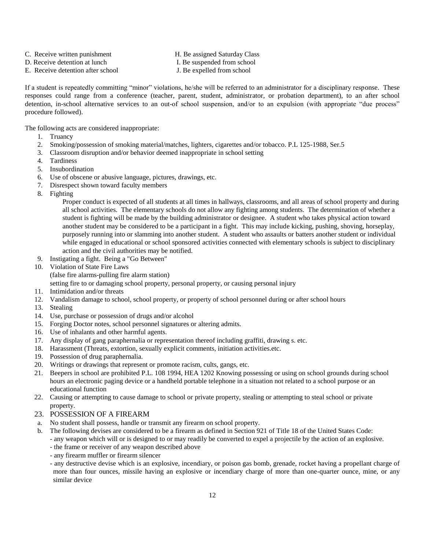- C. Receive written punishment **H. Be assigned Saturday Class** 
	-
- D. Receive detention at lunch I. Be suspended from school
- E. Receive detention after school J. Be expelled from school
- 

If a student is repeatedly committing "minor" violations, he/she will be referred to an administrator for a disciplinary response. These responses could range from a conference (teacher, parent, student, administrator, or probation department), to an after school detention, in-school alternative services to an out-of school suspension, and/or to an expulsion (with appropriate "due process" procedure followed).

The following acts are considered inappropriate:

- 1. Truancy
- 2. Smoking/possession of smoking material/matches, lighters, cigarettes and/or tobacco. P.L 125-1988, Ser.5
- 3. Classroom disruption and/or behavior deemed inappropriate in school setting
- 4. Tardiness
- 5. Insubordination
- 6. Use of obscene or abusive language, pictures, drawings, etc.
- 7. Disrespect shown toward faculty members
- 8. Fighting

Proper conduct is expected of all students at all times in hallways, classrooms, and all areas of school property and during all school activities. The elementary schools do not allow any fighting among students. The determination of whether a student is fighting will be made by the building administrator or designee. A student who takes physical action toward another student may be considered to be a participant in a fight. This may include kicking, pushing, shoving, horseplay, purposely running into or slamming into another student. A student who assaults or batters another student or individual while engaged in educational or school sponsored activities connected with elementary schools is subject to disciplinary action and the civil authorities may be notified.

- 9. Instigating a fight. Being a "Go Between"
- 10. Violation of State Fire Laws

(false fire alarms-pulling fire alarm station)

setting fire to or damaging school property, personal property, or causing personal injury

- 11. Intimidation and/or threats
- 12. Vandalism damage to school, school property, or property of school personnel during or after school hours
- 13. Stealing
- 14. Use, purchase or possession of drugs and/or alcohol
- 15. Forging Doctor notes, school personnel signatures or altering admits.
- 16. Use of inhalants and other harmful agents.
- 17. Any display of gang paraphernalia or representation thereof including graffiti, drawing s. etc.
- 18. Harassment (Threats, extortion, sexually explicit comments, initiation activities.etc.
- 19. Possession of drug paraphernalia.
- 20. Writings or drawings that represent or promote racism, cults, gangs, etc.
- 21. Beepers in school are prohibited P.L. 108 1994, HEA 1202 Knowing possessing or using on school grounds during school hours an electronic paging device or a handheld portable telephone in a situation not related to a school purpose or an educational function
- 22. Causing or attempting to cause damage to school or private property, stealing or attempting to steal school or private property.
- 23. POSSESSION OF A FIREARM
- a. No student shall possess, handle or transmit any firearm on school property.
- b. The following devises are considered to be a firearm as defined in Section 921 of Title 18 of the United States Code:
	- any weapon which will or is designed to or may readily be converted to expel a projectile by the action of an explosive.
	- the frame or receiver of any weapon described above
	- any firearm muffler or firearm silencer
	- any destructive devise which is an explosive, incendiary, or poison gas bomb, grenade, rocket having a propellant charge of more than four ounces, missile having an explosive or incendiary charge of more than one-quarter ounce, mine, or any similar device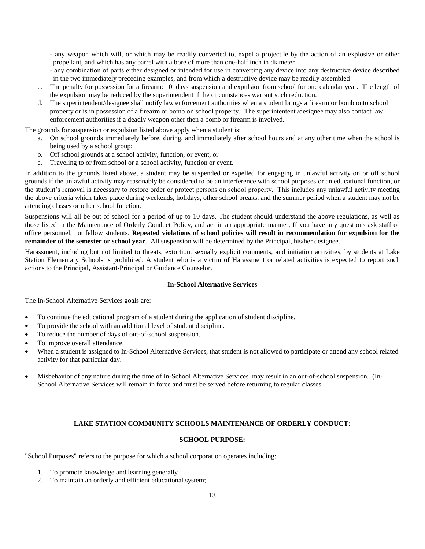- any weapon which will, or which may be readily converted to, expel a projectile by the action of an explosive or other propellant, and which has any barrel with a bore of more than one-half inch in diameter
- any combination of parts either designed or intended for use in converting any device into any destructive device described in the two immediately preceding examples, and from which a destructive device may be readily assembled
- c. The penalty for possession for a firearm: 10 days suspension and expulsion from school for one calendar year. The length of the expulsion may be reduced by the superintendent if the circumstances warrant such reduction.
- d. The superintendent/designee shall notify law enforcement authorities when a student brings a firearm or bomb onto school property or is in possession of a firearm or bomb on school property. The superintentent /designee may also contact law enforcement authorities if a deadly weapon other then a bomb or firearm is involved.

The grounds for suspension or expulsion listed above apply when a student is:

- a. On school grounds immediately before, during, and immediately after school hours and at any other time when the school is being used by a school group;
- b. Off school grounds at a school activity, function, or event, or
- c. Traveling to or from school or a school activity, function or event.

In addition to the grounds listed above, a student may be suspended or expelled for engaging in unlawful activity on or off school grounds if the unlawful activity may reasonably be considered to be an interference with school purposes or an educational function, or the student's removal is necessary to restore order or protect persons on school property. This includes any unlawful activity meeting the above criteria which takes place during weekends, holidays, other school breaks, and the summer period when a student may not be attending classes or other school function.

Suspensions will all be out of school for a period of up to 10 days. The student should understand the above regulations, as well as those listed in the Maintenance of Orderly Conduct Policy, and act in an appropriate manner. If you have any questions ask staff or office personnel, not fellow students. **Repeated violations of school policies will result in recommendation for expulsion for the remainder of the semester or school year**. All suspension will be determined by the Principal, his/her designee.

Harassment, including but not limited to threats, extortion, sexually explicit comments, and initiation activities, by students at Lake Station Elementary Schools is prohibited. A student who is a victim of Harassment or related activities is expected to report such actions to the Principal, Assistant-Principal or Guidance Counselor.

#### **In-School Alternative Services**

The In-School Alternative Services goals are:

- To continue the educational program of a student during the application of student discipline.
- To provide the school with an additional level of student discipline.
- To reduce the number of days of out-of-school suspension.
- To improve overall attendance.
- When a student is assigned to In-School Alternative Services, that student is not allowed to participate or attend any school related activity for that particular day.
- Misbehavior of any nature during the time of In-School Alternative Services may result in an out-of-school suspension. (In-School Alternative Services will remain in force and must be served before returning to regular classes

## **LAKE STATION COMMUNITY SCHOOLS MAINTENANCE OF ORDERLY CONDUCT:**

#### **SCHOOL PURPOSE:**

"School Purposes" refers to the purpose for which a school corporation operates including:

- 1. To promote knowledge and learning generally
- 2. To maintain an orderly and efficient educational system;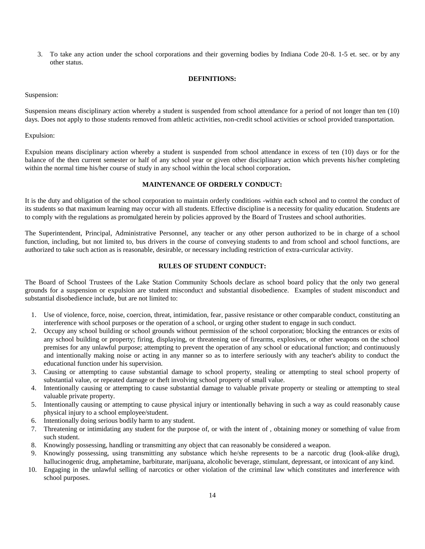3. To take any action under the school corporations and their governing bodies by Indiana Code 20-8. 1-5 et. sec. or by any other status.

#### **DEFINITIONS:**

Suspension:

Suspension means disciplinary action whereby a student is suspended from school attendance for a period of not longer than ten (10) days. Does not apply to those students removed from athletic activities, non-credit school activities or school provided transportation.

Expulsion:

Expulsion means disciplinary action whereby a student is suspended from school attendance in excess of ten (10) days or for the balance of the then current semester or half of any school year or given other disciplinary action which prevents his/her completing within the normal time his/her course of study in any school within the local school corporation**.**

#### **MAINTENANCE OF ORDERLY CONDUCT:**

It is the duty and obligation of the school corporation to maintain orderly conditions -within each school and to control the conduct of its students so that maximum learning may occur with all students. Effective discipline is a necessity for quality education. Students are to comply with the regulations as promulgated herein by policies approved by the Board of Trustees and school authorities.

The Superintendent, Principal, Administrative Personnel, any teacher or any other person authorized to be in charge of a school function, including, but not limited to, bus drivers in the course of conveying students to and from school and school functions, are authorized to take such action as is reasonable, desirable, or necessary including restriction of extra-curricular activity.

#### **RULES OF STUDENT CONDUCT:**

The Board of School Trustees of the Lake Station Community Schools declare as school board policy that the only two general grounds for a suspension or expulsion are student misconduct and substantial disobedience. Examples of student misconduct and substantial disobedience include, but are not limited to:

- 1. Use of violence, force, noise, coercion, threat, intimidation, fear, passive resistance or other comparable conduct, constituting an interference with school purposes or the operation of a school, or urging other student to engage in such conduct.
- 2. Occupy any school building or school grounds without permission of the school corporation; blocking the entrances or exits of any school building or property; firing, displaying, or threatening use of firearms, explosives, or other weapons on the school premises for any unlawful purpose; attempting to prevent the operation of any school or educational function; and continuously and intentionally making noise or acting in any manner so as to interfere seriously with any teacher's ability to conduct the educational function under his supervision.
- 3. Causing or attempting to cause substantial damage to school property, stealing or attempting to steal school property of substantial value, or repeated damage or theft involving school property of small value.
- 4. Intentionally causing or attempting to cause substantial damage to valuable private property or stealing or attempting to steal valuable private property.
- 5. Intentionally causing or attempting to cause physical injury or intentionally behaving in such a way as could reasonably cause physical injury to a school employee/student.
- 6. Intentionally doing serious bodily harm to any student.
- 7. Threatening or intimidating any student for the purpose of, or with the intent of , obtaining money or something of value from such student.
- 8. Knowingly possessing, handling or transmitting any object that can reasonably be considered a weapon.
- 9. Knowingly possessing, using transmitting any substance which he/she represents to be a narcotic drug (look-alike drug), hallucinogenic drug, amphetamine, barbiturate, marijuana, alcoholic beverage, stimulant, depressant, or intoxicant of any kind.
- 10. Engaging in the unlawful selling of narcotics or other violation of the criminal law which constitutes and interference with school purposes.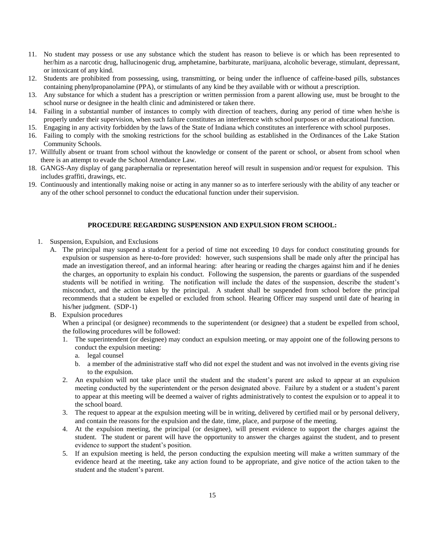- 11. No student may possess or use any substance which the student has reason to believe is or which has been represented to her/him as a narcotic drug, hallucinogenic drug, amphetamine, barbiturate, marijuana, alcoholic beverage, stimulant, depressant, or intoxicant of any kind.
- 12. Students are prohibited from possessing, using, transmitting, or being under the influence of caffeine-based pills, substances containing phenylpropanolamine (PPA), or stimulants of any kind be they available with or without a prescription.
- 13. Any substance for which a student has a prescription or written permission from a parent allowing use, must be brought to the school nurse or designee in the health clinic and administered or taken there.
- 14. Failing in a substantial number of instances to comply with direction of teachers, during any period of time when he/she is properly under their supervision, when such failure constitutes an interference with school purposes or an educational function.
- 15. Engaging in any activity forbidden by the laws of the State of Indiana which constitutes an interference with school purposes.
- 16. Failing to comply with the smoking restrictions for the school building as established in the Ordinances of the Lake Station Community Schools.
- 17. Willfully absent or truant from school without the knowledge or consent of the parent or school, or absent from school when there is an attempt to evade the School Attendance Law.
- 18. GANGS-Any display of gang paraphernalia or representation hereof will result in suspension and/or request for expulsion. This includes graffiti, drawings, etc.
- 19. Continuously and intentionally making noise or acting in any manner so as to interfere seriously with the ability of any teacher or any of the other school personnel to conduct the educational function under their supervision.

#### **PROCEDURE REGARDING SUSPENSION AND EXPULSION FROM SCHOOL:**

- 1. Suspension, Expulsion, and Exclusions
	- A. The principal may suspend a student for a period of time not exceeding 10 days for conduct constituting grounds for expulsion or suspension as here-to-fore provided: however, such suspensions shall be made only after the principal has made an investigation thereof, and an informal hearing: after hearing or reading the charges against him and if he denies the charges, an opportunity to explain his conduct. Following the suspension, the parents or guardians of the suspended students will be notified in writing. The notification will include the dates of the suspension, describe the student's misconduct, and the action taken by the principal. A student shall be suspended from school before the principal recommends that a student be expelled or excluded from school. Hearing Officer may suspend until date of hearing in his/her judgment. (SDP-1)
	- B. Expulsion procedures

When a principal (or designee) recommends to the superintendent (or designee) that a student be expelled from school, the following procedures will be followed:

- 1. The superintendent (or designee) may conduct an expulsion meeting, or may appoint one of the following persons to conduct the expulsion meeting:
	- a. legal counsel
	- b. a member of the administrative staff who did not expel the student and was not involved in the events giving rise to the expulsion.
- 2. An expulsion will not take place until the student and the student's parent are asked to appear at an expulsion meeting conducted by the superintendent or the person designated above. Failure by a student or a student's parent to appear at this meeting will be deemed a waiver of rights administratively to contest the expulsion or to appeal it to the school board.
- 3. The request to appear at the expulsion meeting will be in writing, delivered by certified mail or by personal delivery, and contain the reasons for the expulsion and the date, time, place, and purpose of the meeting.
- 4. At the expulsion meeting, the principal (or designee), will present evidence to support the charges against the student. The student or parent will have the opportunity to answer the charges against the student, and to present evidence to support the student's position.
- 5. If an expulsion meeting is held, the person conducting the expulsion meeting will make a written summary of the evidence heard at the meeting, take any action found to be appropriate, and give notice of the action taken to the student and the student's parent.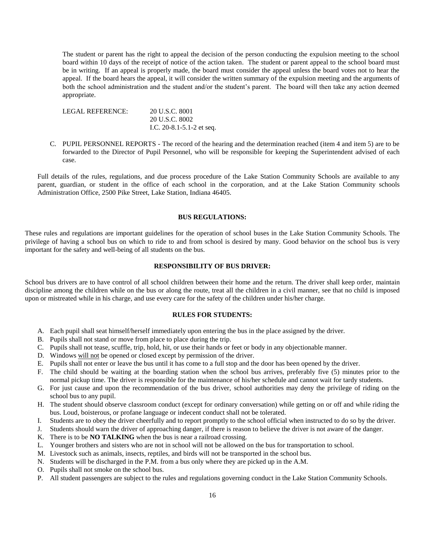The student or parent has the right to appeal the decision of the person conducting the expulsion meeting to the school board within 10 days of the receipt of notice of the action taken. The student or parent appeal to the school board must be in writing. If an appeal is properly made, the board must consider the appeal unless the board votes not to hear the appeal. If the board hears the appeal, it will consider the written summary of the expulsion meeting and the arguments of both the school administration and the student and/or the student's parent. The board will then take any action deemed appropriate.

LEGAL REFERENCE: 20 U.S.C. 8001 20 U.S.C. 8002 I.C. 20-8.1-5.1-2 et seq.

C. PUPIL PERSONNEL REPORTS - The record of the hearing and the determination reached (item 4 and item 5) are to be forwarded to the Director of Pupil Personnel, who will be responsible for keeping the Superintendent advised of each case.

Full details of the rules, regulations, and due process procedure of the Lake Station Community Schools are available to any parent, guardian, or student in the office of each school in the corporation, and at the Lake Station Community schools Administration Office, 2500 Pike Street, Lake Station, Indiana 46405.

## **BUS REGULATIONS:**

These rules and regulations are important guidelines for the operation of school buses in the Lake Station Community Schools. The privilege of having a school bus on which to ride to and from school is desired by many. Good behavior on the school bus is very important for the safety and well-being of all students on the bus.

#### **RESPONSIBILITY OF BUS DRIVER:**

School bus drivers are to have control of all school children between their home and the return. The driver shall keep order, maintain discipline among the children while on the bus or along the route, treat all the children in a civil manner, see that no child is imposed upon or mistreated while in his charge, and use every care for the safety of the children under his/her charge.

#### **RULES FOR STUDENTS:**

- A. Each pupil shall seat himself/herself immediately upon entering the bus in the place assigned by the driver.
- B. Pupils shall not stand or move from place to place during the trip.
- C. Pupils shall not tease, scuffle, trip, hold, hit, or use their hands or feet or body in any objectionable manner.
- D. Windows will not be opened or closed except by permission of the driver.
- E. Pupils shall not enter or leave the bus until it has come to a full stop and the door has been opened by the driver.
- F. The child should be waiting at the boarding station when the school bus arrives, preferably five (5) minutes prior to the normal pickup time. The driver is responsible for the maintenance of his/her schedule and cannot wait for tardy students.
- G. For just cause and upon the recommendation of the bus driver, school authorities may deny the privilege of riding on the school bus to any pupil.
- H. The student should observe classroom conduct (except for ordinary conversation) while getting on or off and while riding the bus. Loud, boisterous, or profane language or indecent conduct shall not be tolerated.
- I. Students are to obey the driver cheerfully and to report promptly to the school official when instructed to do so by the driver.
- J. Students should warn the driver of approaching danger, if there is reason to believe the driver is not aware of the danger.
- K. There is to be **NO TALKING** when the bus is near a railroad crossing.
- L. Younger brothers and sisters who are not in school will not be allowed on the bus for transportation to school.
- M. Livestock such as animals, insects, reptiles, and birds will not be transported in the school bus.
- N. Students will be discharged in the P.M. from a bus only where they are picked up in the A.M.
- O. Pupils shall not smoke on the school bus.
- P. All student passengers are subject to the rules and regulations governing conduct in the Lake Station Community Schools.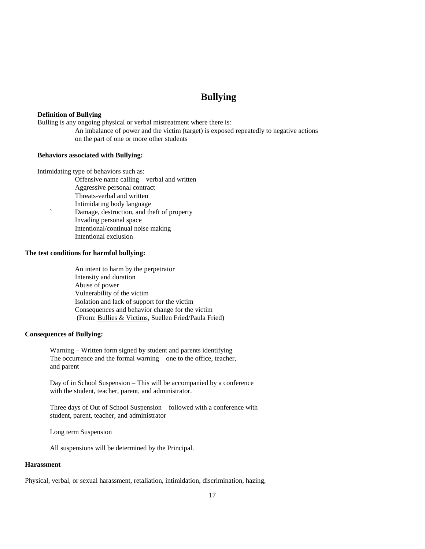# **Bullying**

#### **Definition of Bullying**

Bulling is any ongoing physical or verbal mistreatment where there is:

An imbalance of power and the victim (target) is exposed repeatedly to negative actions on the part of one or more other students

#### **Behaviors associated with Bullying:**

Intimidating type of behaviors such as:

- Offensive name calling verbal and written
- Aggressive personal contract
- Threats-verbal and written
- Intimidating body language
- ` Damage, destruction, and theft of property
	- Invading personal space
	- Intentional/continual noise making
	- Intentional exclusion

## **The test conditions for harmful bullying:**

An intent to harm by the perpetrator Intensity and duration Abuse of power Vulnerability of the victim Isolation and lack of support for the victim Consequences and behavior change for the victim (From: Bullies & Victims, Suellen Fried/Paula Fried)

#### **Consequences of Bullying:**

Warning – Written form signed by student and parents identifying The occurrence and the formal warning – one to the office, teacher, and parent

Day of in School Suspension – This will be accompanied by a conference with the student, teacher, parent, and administrator.

Three days of Out of School Suspension – followed with a conference with student, parent, teacher, and administrator

Long term Suspension

All suspensions will be determined by the Principal.

#### **Harassment**

Physical, verbal, or sexual harassment, retaliation, intimidation, discrimination, hazing,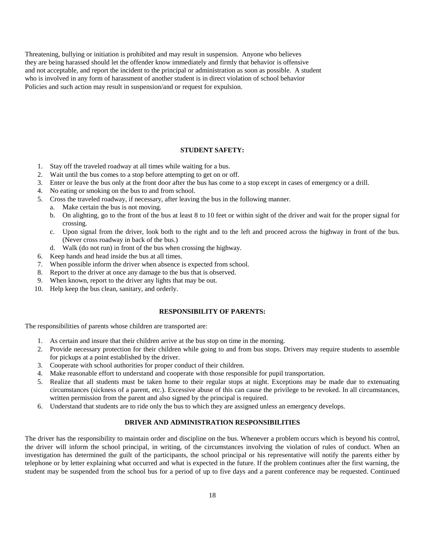Threatening, bullying or initiation is prohibited and may result in suspension. Anyone who believes they are being harassed should let the offender know immediately and firmly that behavior is offensive and not acceptable, and report the incident to the principal or administration as soon as possible. A student who is involved in any form of harassment of another student is in direct violation of school behavior Policies and such action may result in suspension/and or request for expulsion.

#### **STUDENT SAFETY:**

- 1. Stay off the traveled roadway at all times while waiting for a bus.
- 2. Wait until the bus comes to a stop before attempting to get on or off.
- 3. Enter or leave the bus only at the front door after the bus has come to a stop except in cases of emergency or a drill.
- 4. No eating or smoking on the bus to and from school.
- 5. Cross the traveled roadway, if necessary, after leaving the bus in the following manner.
	- a. Make certain the bus is not moving.
	- b. On alighting, go to the front of the bus at least 8 to 10 feet or within sight of the driver and wait for the proper signal for crossing.
	- c. Upon signal from the driver, look both to the right and to the left and proceed across the highway in front of the bus. (Never cross roadway in back of the bus.)
	- d. Walk (do not run) in front of the bus when crossing the highway.
- 6. Keep hands and head inside the bus at all times.
- 7. When possible inform the driver when absence is expected from school.
- 8. Report to the driver at once any damage to the bus that is observed.
- 9. When known, report to the driver any lights that may be out.
- 10. Help keep the bus clean, sanitary, and orderly.

#### **RESPONSIBILITY OF PARENTS:**

The responsibilities of parents whose children are transported are:

- 1. As certain and insure that their children arrive at the bus stop on time in the morning.
- 2. Provide necessary protection for their children while going to and from bus stops. Drivers may require students to assemble for pickups at a point established by the driver.
- 3. Cooperate with school authorities for proper conduct of their children.
- 4. Make reasonable effort to understand and cooperate with those responsible for pupil transportation.
- 5. Realize that all students must be taken home to their regular stops at night. Exceptions may be made due to extenuating circumstances (sickness of a parent, etc.). Excessive abuse of this can cause the privilege to be revoked. In all circumstances, written permission from the parent and also signed by the principal is required.
- 6. Understand that students are to ride only the bus to which they are assigned unless an emergency develops.

## **DRIVER AND ADMINISTRATION RESPONSIBILITIES**

The driver has the responsibility to maintain order and discipline on the bus. Whenever a problem occurs which is beyond his control, the driver will inform the school principal, in writing, of the circumstances involving the violation of rules of conduct. When an investigation has determined the guilt of the participants, the school principal or his representative will notify the parents either by telephone or by letter explaining what occurred and what is expected in the future. If the problem continues after the first warning, the student may be suspended from the school bus for a period of up to five days and a parent conference may be requested. Continued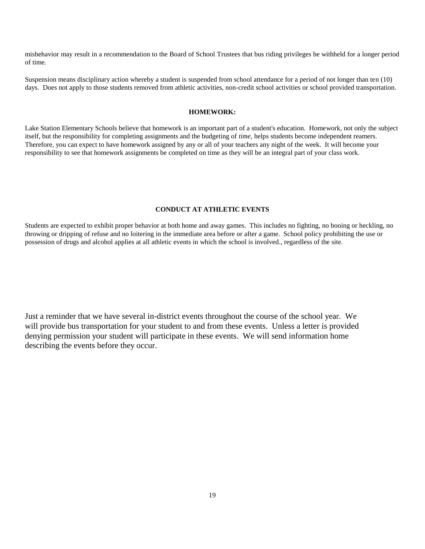misbehavior may result in a recommendation to the Board of School Trustees that bus riding privileges be withheld for a longer period of time.

Suspension means disciplinary action whereby a student is suspended from school attendance for a period of not longer than ten (10) days. Does not apply to those students removed from athletic activities, non-credit school activities or school provided transportation.

#### **HOMEWORK:**

Lake Station Elementary Schools believe that homework is an important part of a student's education. Homework, not only the subject itself, but the responsibility for completing assignments and the budgeting of *time,* helps students become independent reamers. Therefore, you can expect to have homework assigned by any or all of your teachers any night of the week. It will become your responsibility to see that homework assignments be completed on time as they will be an integral part of your class work.

## **CONDUCT AT ATHLETIC EVENTS**

Students are expected to exhibit proper behavior at both home and away games. This includes no fighting, no booing or heckling, no throwing or dripping of refuse and no loitering in the immediate area before or after a game. School policy prohibiting the use or possession of drugs and alcohol applies at all athletic events in which the school is involved., regardless of the site.

Just a reminder that we have several in-district events throughout the course of the school year. We will provide bus transportation for your student to and from these events. Unless a letter is provided denying permission your student will participate in these events. We will send information home describing the events before they occur.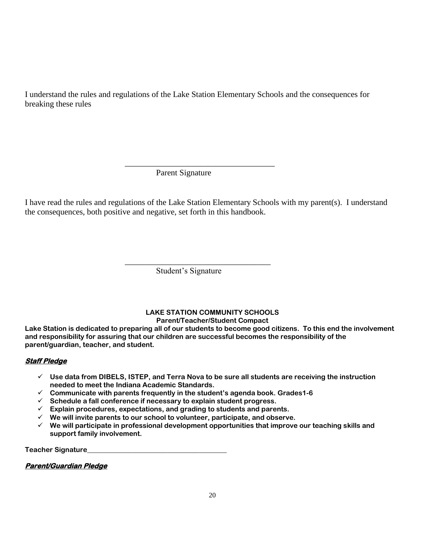I understand the rules and regulations of the Lake Station Elementary Schools and the consequences for breaking these rules

\_\_\_\_\_\_\_\_\_\_\_\_\_\_\_\_\_\_\_\_\_\_\_\_\_\_\_\_\_\_\_\_\_\_\_\_

Parent Signature

I have read the rules and regulations of the Lake Station Elementary Schools with my parent(s). I understand the consequences, both positive and negative, set forth in this handbook.

Student's Signature

\_\_\_\_\_\_\_\_\_\_\_\_\_\_\_\_\_\_\_\_\_\_\_\_\_\_\_\_\_\_\_\_\_\_\_

# **LAKE STATION COMMUNITY SCHOOLS Parent/Teacher/Student Compact**

**Lake Station is dedicated to preparing all of our students to become good citizens. To this end the involvement and responsibility for assuring that our children are successful becomes the responsibility of the parent/guardian, teacher, and student.**

# **Staff Pledge**

- **Use data from DIBELS, ISTEP, and Terra Nova to be sure all students are receiving the instruction needed to meet the Indiana Academic Standards.**
- **Communicate with parents frequently in the student's agenda book. Grades1-6**
- **Schedule a fall conference if necessary to explain student progress.**
- **Explain procedures, expectations, and grading to students and parents.**
- **We will invite parents to our school to volunteer, participate, and observe.**
- **We will participate in professional development opportunities that improve our teaching skills and support family involvement.**

**Teacher Signature\_\_\_\_\_\_\_\_\_\_\_\_\_\_\_\_\_\_\_\_\_\_\_\_\_\_\_\_\_\_\_\_\_\_\_\_\_\_\_\_**

**Parent/Guardian Pledge**